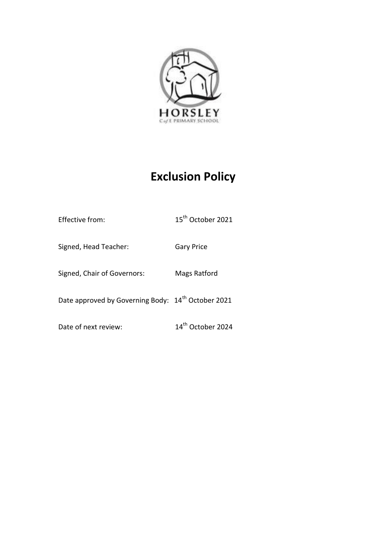

# **Exclusion Policy**

| <b>Effective from:</b>                                         | 15 <sup>th</sup> October 2021 |
|----------------------------------------------------------------|-------------------------------|
| Signed, Head Teacher:                                          | <b>Gary Price</b>             |
| Signed, Chair of Governors:                                    | Mags Ratford                  |
| Date approved by Governing Body: 14 <sup>th</sup> October 2021 |                               |
| Date of next review:                                           | 14 <sup>th</sup> October 2024 |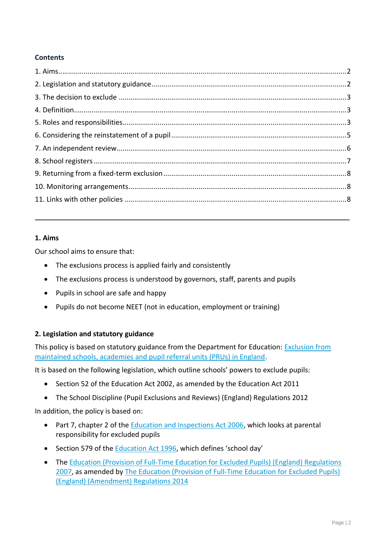# **Contents**

## **1. Aims**

Our school aims to ensure that:

- The exclusions process is applied fairly and consistently
- The exclusions process is understood by governors, staff, parents and pupils
- Pupils in school are safe and happy
- Pupils do not become NEET (not in education, employment or training)

# **2. Legislation and statutory guidance**

This policy is based on statutory guidance from the Department for Education: [Exclusion from](https://www.gov.uk/government/publications/school-exclusion)  [maintained schools, academies and pupil referral units \(PRUs\) in England.](https://www.gov.uk/government/publications/school-exclusion)

It is based on the following legislation, which outline schools' powers to exclude pupils:

- Section 52 of the [Education Act 2002,](http://www.legislation.gov.uk/ukpga/2002/32/section/52) as amended by the [Education Act 2011](http://www.legislation.gov.uk/ukpga/2011/21/contents/enacted)
- [The School Discipline \(Pupil Exclusions and Reviews\) \(England\) Regulations 2012](http://www.legislation.gov.uk/uksi/2012/1033/made)

In addition, the policy is based on:

- Part 7, chapter 2 of the **Education and Inspections Act 2006**, which looks at parental responsibility for excluded pupils
- Section 579 of the **Education Act 1996**, which defines 'school day'
- The Education (Provision of Full-Time Education for Excluded Pupils) (England) Regulations [2007,](http://www.legislation.gov.uk/uksi/2007/1870/contents/made) as amended by [The Education \(Provision of Full-Time Education for Excluded Pupils\)](http://www.legislation.gov.uk/uksi/2014/3216/contents/made)  [\(England\) \(Amendment\) Regulations 2014](http://www.legislation.gov.uk/uksi/2014/3216/contents/made)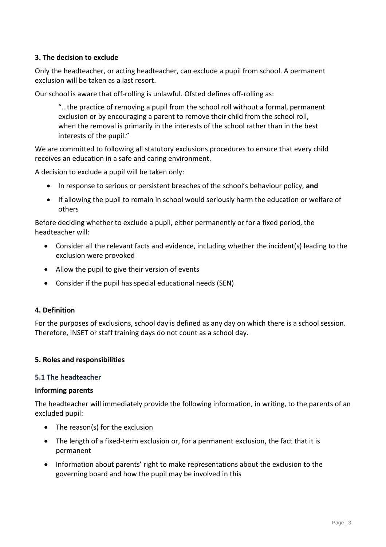# **3. The decision to exclude**

Only the headteacher, or acting headteacher, can exclude a pupil from school. A permanent exclusion will be taken as a last resort.

Our school is aware that off-rolling is unlawful. Ofsted defines off-rolling as:

"…the practice of removing a pupil from the school roll without a formal, permanent exclusion or by encouraging a parent to remove their child from the school roll, when the removal is primarily in the interests of the school rather than in the best interests of the pupil."

We are committed to following all statutory exclusions procedures to ensure that every child receives an education in a safe and caring environment.

A decision to exclude a pupil will be taken only:

- In response to serious or persistent breaches of the school's behaviour policy, **and**
- If allowing the pupil to remain in school would seriously harm the education or welfare of others

Before deciding whether to exclude a pupil, either permanently or for a fixed period, the headteacher will:

- Consider all the relevant facts and evidence, including whether the incident(s) leading to the exclusion were provoked
- Allow the pupil to give their version of events
- Consider if the pupil has special educational needs (SEN)

## **4. Definition**

For the purposes of exclusions, school day is defined as any day on which there is a school session. Therefore, INSET or staff training days do not count as a school day.

## **5. Roles and responsibilities**

## **5.1 The headteacher**

## **Informing parents**

The headteacher will immediately provide the following information, in writing, to the parents of an excluded pupil:

- The reason(s) for the exclusion
- The length of a fixed-term exclusion or, for a permanent exclusion, the fact that it is permanent
- Information about parents' right to make representations about the exclusion to the governing board and how the pupil may be involved in this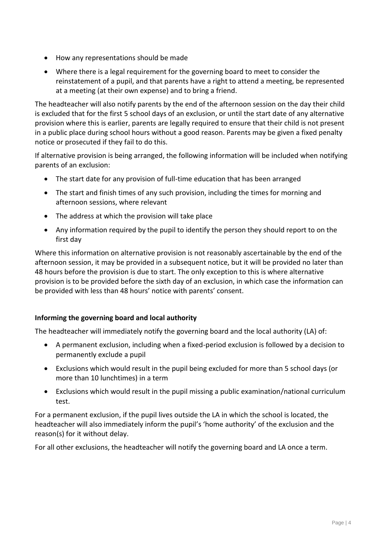- How any representations should be made
- Where there is a legal requirement for the governing board to meet to consider the reinstatement of a pupil, and that parents have a right to attend a meeting, be represented at a meeting (at their own expense) and to bring a friend.

The headteacher will also notify parents by the end of the afternoon session on the day their child is excluded that for the first 5 school days of an exclusion, or until the start date of any alternative provision where this is earlier, parents are legally required to ensure that their child is not present in a public place during school hours without a good reason. Parents may be given a fixed penalty notice or prosecuted if they fail to do this.

If alternative provision is being arranged, the following information will be included when notifying parents of an exclusion:

- The start date for any provision of full-time education that has been arranged
- The start and finish times of any such provision, including the times for morning and afternoon sessions, where relevant
- The address at which the provision will take place
- Any information required by the pupil to identify the person they should report to on the first day

Where this information on alternative provision is not reasonably ascertainable by the end of the afternoon session, it may be provided in a subsequent notice, but it will be provided no later than 48 hours before the provision is due to start. The only exception to this is where alternative provision is to be provided before the sixth day of an exclusion, in which case the information can be provided with less than 48 hours' notice with parents' consent.

# **Informing the governing board and local authority**

The headteacher will immediately notify the governing board and the local authority (LA) of:

- A permanent exclusion, including when a fixed-period exclusion is followed by a decision to permanently exclude a pupil
- Exclusions which would result in the pupil being excluded for more than 5 school days (or more than 10 lunchtimes) in a term
- Exclusions which would result in the pupil missing a public examination/national curriculum test.

For a permanent exclusion, if the pupil lives outside the LA in which the school is located, the headteacher will also immediately inform the pupil's 'home authority' of the exclusion and the reason(s) for it without delay.

For all other exclusions, the headteacher will notify the governing board and LA once a term.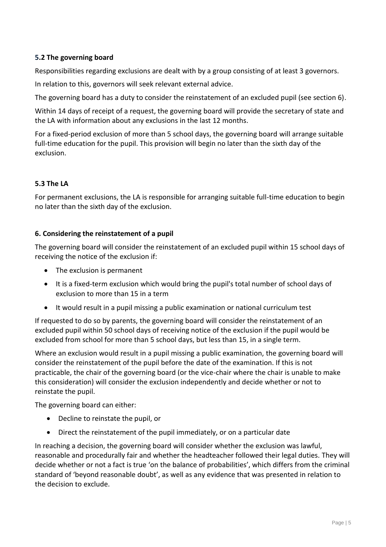# **5.2 The governing board**

Responsibilities regarding exclusions are dealt with by a group consisting of at least 3 governors.

In relation to this, governors will seek relevant external advice.

The governing board has a duty to consider the reinstatement of an excluded pupil (see section 6).

Within 14 days of receipt of a request, the governing board will provide the secretary of state and the LA with information about any exclusions in the last 12 months.

For a fixed-period exclusion of more than 5 school days, the governing board will arrange suitable full-time education for the pupil. This provision will begin no later than the sixth day of the exclusion.

# **5.3 The LA**

For permanent exclusions, the LA is responsible for arranging suitable full-time education to begin no later than the sixth day of the exclusion.

# **6. Considering the reinstatement of a pupil**

The governing board will consider the reinstatement of an excluded pupil within 15 school days of receiving the notice of the exclusion if:

- The exclusion is permanent
- It is a fixed-term exclusion which would bring the pupil's total number of school days of exclusion to more than 15 in a term
- It would result in a pupil missing a public examination or national curriculum test

If requested to do so by parents, the governing board will consider the reinstatement of an excluded pupil within 50 school days of receiving notice of the exclusion if the pupil would be excluded from school for more than 5 school days, but less than 15, in a single term.

Where an exclusion would result in a pupil missing a public examination, the governing board will consider the reinstatement of the pupil before the date of the examination. If this is not practicable, the chair of the governing board (or the vice-chair where the chair is unable to make this consideration) will consider the exclusion independently and decide whether or not to reinstate the pupil.

The governing board can either:

- Decline to reinstate the pupil, or
- Direct the reinstatement of the pupil immediately, or on a particular date

In reaching a decision, the governing board will consider whether the exclusion was lawful, reasonable and procedurally fair and whether the headteacher followed their legal duties. They will decide whether or not a fact is true 'on the balance of probabilities', which differs from the criminal standard of 'beyond reasonable doubt', as well as any evidence that was presented in relation to the decision to exclude.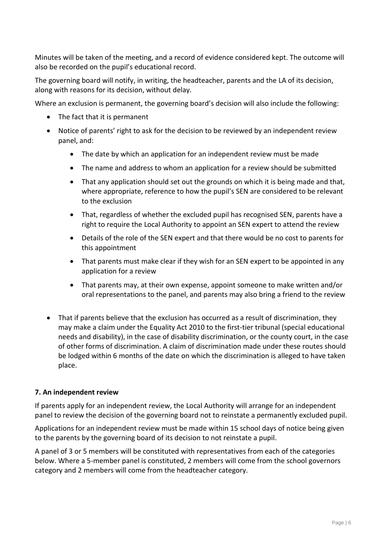Minutes will be taken of the meeting, and a record of evidence considered kept. The outcome will also be recorded on the pupil's educational record.

The governing board will notify, in writing, the headteacher, parents and the LA of its decision, along with reasons for its decision, without delay.

Where an exclusion is permanent, the governing board's decision will also include the following:

- The fact that it is permanent
- Notice of parents' right to ask for the decision to be reviewed by an independent review panel, and:
	- The date by which an application for an independent review must be made
	- The name and address to whom an application for a review should be submitted
	- That any application should set out the grounds on which it is being made and that, where appropriate, reference to how the pupil's SEN are considered to be relevant to the exclusion
	- That, regardless of whether the excluded pupil has recognised SEN, parents have a right to require the Local Authority to appoint an SEN expert to attend the review
	- Details of the role of the SEN expert and that there would be no cost to parents for this appointment
	- That parents must make clear if they wish for an SEN expert to be appointed in any application for a review
	- That parents may, at their own expense, appoint someone to make written and/or oral representations to the panel, and parents may also bring a friend to the review
- That if parents believe that the exclusion has occurred as a result of discrimination, they may make a claim under the Equality Act 2010 to the first-tier tribunal (special educational needs and disability), in the case of disability discrimination, or the county court, in the case of other forms of discrimination. A claim of discrimination made under these routes should be lodged within 6 months of the date on which the discrimination is alleged to have taken place.

# **7. An independent review**

If parents apply for an independent review, the Local Authority will arrange for an independent panel to review the decision of the governing board not to reinstate a permanently excluded pupil.

Applications for an independent review must be made within 15 school days of notice being given to the parents by the governing board of its decision to not reinstate a pupil.

A panel of 3 or 5 members will be constituted with representatives from each of the categories below. Where a 5-member panel is constituted, 2 members will come from the school governors category and 2 members will come from the headteacher category.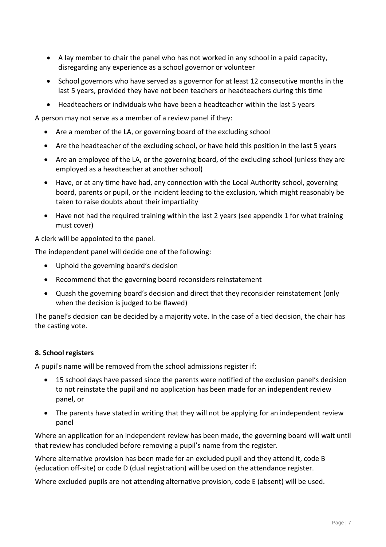- A lay member to chair the panel who has not worked in any school in a paid capacity, disregarding any experience as a school governor or volunteer
- School governors who have served as a governor for at least 12 consecutive months in the last 5 years, provided they have not been teachers or headteachers during this time
- Headteachers or individuals who have been a headteacher within the last 5 years

A person may not serve as a member of a review panel if they:

- Are a member of the LA, or governing board of the excluding school
- Are the headteacher of the excluding school, or have held this position in the last 5 years
- Are an employee of the LA, or the governing board, of the excluding school (unless they are employed as a headteacher at another school)
- Have, or at any time have had, any connection with the Local Authority school, governing board, parents or pupil, or the incident leading to the exclusion, which might reasonably be taken to raise doubts about their impartiality
- Have not had the required training within the last 2 years (see appendix 1 for what training must cover)

A clerk will be appointed to the panel.

The independent panel will decide one of the following:

- Uphold the governing board's decision
- Recommend that the governing board reconsiders reinstatement
- Quash the governing board's decision and direct that they reconsider reinstatement (only when the decision is judged to be flawed)

The panel's decision can be decided by a majority vote. In the case of a tied decision, the chair has the casting vote.

## **8. School registers**

A pupil's name will be removed from the school admissions register if:

- 15 school days have passed since the parents were notified of the exclusion panel's decision to not reinstate the pupil and no application has been made for an independent review panel, or
- The parents have stated in writing that they will not be applying for an independent review panel

Where an application for an independent review has been made, the governing board will wait until that review has concluded before removing a pupil's name from the register.

Where alternative provision has been made for an excluded pupil and they attend it, code B (education off-site) or code D (dual registration) will be used on the attendance register.

Where excluded pupils are not attending alternative provision, code E (absent) will be used.